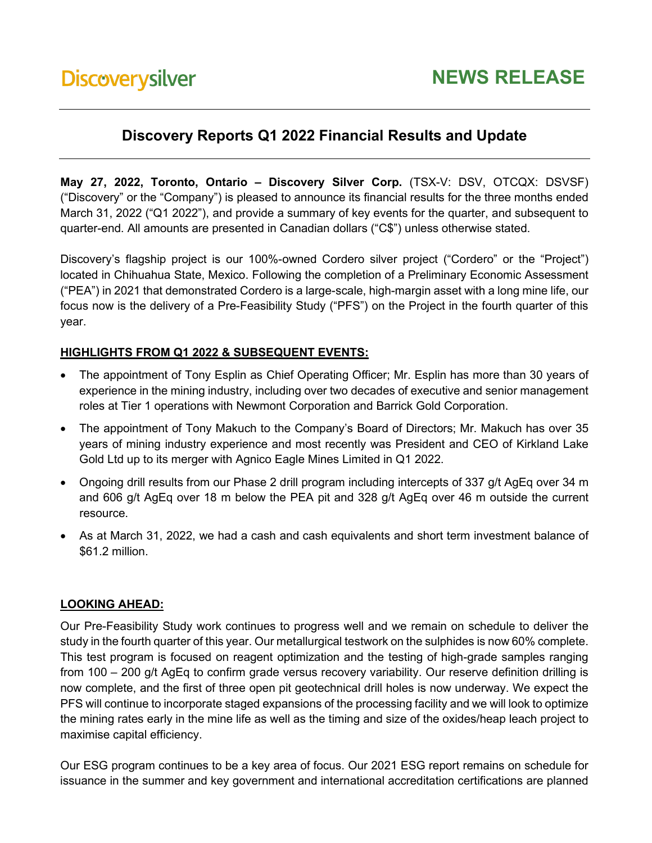# **Discovery Reports Q1 2022 Financial Results and Update**

**May 27, 2022, Toronto, Ontario – Discovery Silver Corp.** (TSX-V: DSV, OTCQX: DSVSF) ("Discovery" or the "Company") is pleased to announce its financial results for the three months ended March 31, 2022 ("Q1 2022"), and provide a summary of key events for the quarter, and subsequent to quarter-end. All amounts are presented in Canadian dollars ("C\$") unless otherwise stated.

Discovery's flagship project is our 100%-owned Cordero silver project ("Cordero" or the "Project") located in Chihuahua State, Mexico. Following the completion of a Preliminary Economic Assessment ("PEA") in 2021 that demonstrated Cordero is a large-scale, high-margin asset with a long mine life, our focus now is the delivery of a Pre-Feasibility Study ("PFS") on the Project in the fourth quarter of this year.

#### **HIGHLIGHTS FROM Q1 2022 & SUBSEQUENT EVENTS:**

- The appointment of Tony Esplin as Chief Operating Officer; Mr. Esplin has more than 30 years of experience in the mining industry, including over two decades of executive and senior management roles at Tier 1 operations with Newmont Corporation and Barrick Gold Corporation.
- The appointment of Tony Makuch to the Company's Board of Directors; Mr. Makuch has over 35 years of mining industry experience and most recently was President and CEO of Kirkland Lake Gold Ltd up to its merger with Agnico Eagle Mines Limited in Q1 2022.
- Ongoing drill results from our Phase 2 drill program including intercepts of 337 g/t AgEq over 34 m and 606 g/t AgEq over 18 m below the PEA pit and 328 g/t AgEq over 46 m outside the current resource.
- As at March 31, 2022, we had a cash and cash equivalents and short term investment balance of \$61.2 million.

#### **LOOKING AHEAD:**

Our Pre-Feasibility Study work continues to progress well and we remain on schedule to deliver the study in the fourth quarter of this year. Our metallurgical testwork on the sulphides is now 60% complete. This test program is focused on reagent optimization and the testing of high-grade samples ranging from 100 – 200 g/t AgEq to confirm grade versus recovery variability. Our reserve definition drilling is now complete, and the first of three open pit geotechnical drill holes is now underway. We expect the PFS will continue to incorporate staged expansions of the processing facility and we will look to optimize the mining rates early in the mine life as well as the timing and size of the oxides/heap leach project to maximise capital efficiency.

Our ESG program continues to be a key area of focus. Our 2021 ESG report remains on schedule for issuance in the summer and key government and international accreditation certifications are planned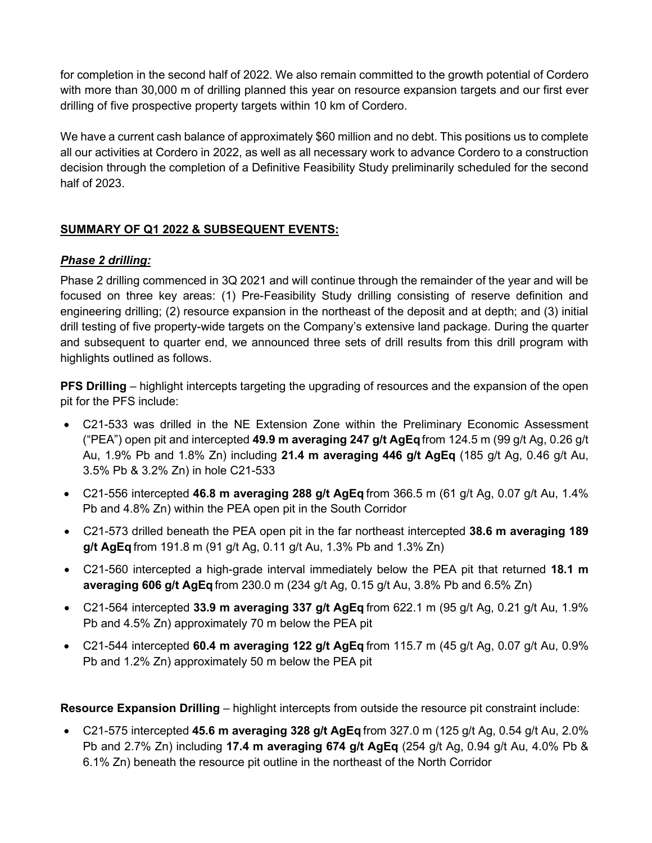for completion in the second half of 2022. We also remain committed to the growth potential of Cordero with more than 30,000 m of drilling planned this year on resource expansion targets and our first ever drilling of five prospective property targets within 10 km of Cordero.

We have a current cash balance of approximately \$60 million and no debt. This positions us to complete all our activities at Cordero in 2022, as well as all necessary work to advance Cordero to a construction decision through the completion of a Definitive Feasibility Study preliminarily scheduled for the second half of 2023.

## **SUMMARY OF Q1 2022 & SUBSEQUENT EVENTS:**

#### *Phase 2 drilling:*

Phase 2 drilling commenced in 3Q 2021 and will continue through the remainder of the year and will be focused on three key areas: (1) Pre-Feasibility Study drilling consisting of reserve definition and engineering drilling; (2) resource expansion in the northeast of the deposit and at depth; and (3) initial drill testing of five property-wide targets on the Company's extensive land package. During the quarter and subsequent to quarter end, we announced three sets of drill results from this drill program with highlights outlined as follows.

**PFS Drilling** – highlight intercepts targeting the upgrading of resources and the expansion of the open pit for the PFS include:

- C21-533 was drilled in the NE Extension Zone within the Preliminary Economic Assessment ("PEA") open pit and intercepted **49.9 m averaging 247 g/t AgEq**from 124.5 m (99 g/t Ag, 0.26 g/t Au, 1.9% Pb and 1.8% Zn) including **21.4 m averaging 446 g/t AgEq** (185 g/t Ag, 0.46 g/t Au, 3.5% Pb & 3.2% Zn) in hole C21-533
- C21-556 intercepted **46.8 m averaging 288 g/t AgEq** from 366.5 m (61 g/t Ag, 0.07 g/t Au, 1.4% Pb and 4.8% Zn) within the PEA open pit in the South Corridor
- C21-573 drilled beneath the PEA open pit in the far northeast intercepted **38.6 m averaging 189 g/t AgEq** from 191.8 m (91 g/t Ag, 0.11 g/t Au, 1.3% Pb and 1.3% Zn)
- C21-560 intercepted a high-grade interval immediately below the PEA pit that returned **18.1 m averaging 606 g/t AgEq** from 230.0 m (234 g/t Ag, 0.15 g/t Au, 3.8% Pb and 6.5% Zn)
- C21-564 intercepted **33.9 m averaging 337 g/t AgEq** from 622.1 m (95 g/t Ag, 0.21 g/t Au, 1.9% Pb and 4.5% Zn) approximately 70 m below the PEA pit
- C21-544 intercepted **60.4 m averaging 122 g/t AgEq** from 115.7 m (45 g/t Ag, 0.07 g/t Au, 0.9% Pb and 1.2% Zn) approximately 50 m below the PEA pit

**Resource Expansion Drilling** *–* highlight intercepts from outside the resource pit constraint include:

• C21-575 intercepted **45.6 m averaging 328 g/t AgEq** from 327.0 m (125 g/t Ag, 0.54 g/t Au, 2.0% Pb and 2.7% Zn) including **17.4 m averaging 674 g/t AgEq** (254 g/t Ag, 0.94 g/t Au, 4.0% Pb & 6.1% Zn) beneath the resource pit outline in the northeast of the North Corridor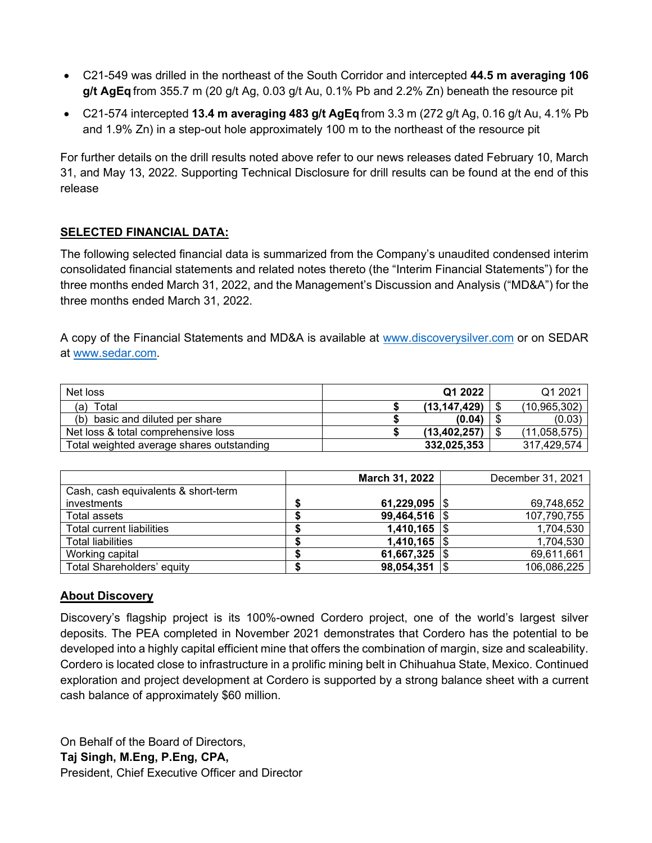- C21-549 was drilled in the northeast of the South Corridor and intercepted **44.5 m averaging 106 g/t AgEq** from 355.7 m (20 g/t Ag, 0.03 g/t Au, 0.1% Pb and 2.2% Zn) beneath the resource pit
- C21-574 intercepted **13.4 m averaging 483 g/t AgEq** from 3.3 m (272 g/t Ag, 0.16 g/t Au, 4.1% Pb and 1.9% Zn) in a step-out hole approximately 100 m to the northeast of the resource pit

For further details on the drill results noted above refer to our news releases dated February 10, March 31, and May 13, 2022. Supporting Technical Disclosure for drill results can be found at the end of this release

#### **SELECTED FINANCIAL DATA:**

The following selected financial data is summarized from the Company's unaudited condensed interim consolidated financial statements and related notes thereto (the "Interim Financial Statements") for the three months ended March 31, 2022, and the Management's Discussion and Analysis ("MD&A") for the three months ended March 31, 2022.

A copy of the Financial Statements and MD&A is available at [www.discoverysilver.com](http://www.discoverysilver.com/) or on SEDAR at [www.sedar.com.](http://www.sedar.com/)

| Net loss                                  | Q1 2022        | Q1 2021      |
|-------------------------------------------|----------------|--------------|
| Total<br>(a)                              | (13, 147, 429) | (10,965,302) |
| basic and diluted per share<br>(b)        | (0.04)         | (0.03)       |
| Net loss & total comprehensive loss       | (13.402.257)   | (11,058,575) |
| Total weighted average shares outstanding | 332,025,353    | 317.429.574  |

|                                     | March 31, 2022           |     | December 31, 2021 |
|-------------------------------------|--------------------------|-----|-------------------|
| Cash, cash equivalents & short-term |                          |     |                   |
| investments                         | 61,229,095 $\frac{1}{9}$ |     | 69,748,652        |
| Total assets                        | $99,464,516$ \$          |     | 107,790,755       |
| Total current liabilities           | $1,410,165$ \\$          |     | 1,704,530         |
| <b>Total liabilities</b>            | $1,410,165$ \\$          |     | 1,704,530         |
| Working capital                     | 61,667,325               |     | 69,611,661        |
| <b>Total Shareholders' equity</b>   | 98,054,351               | 1\$ | 106,086,225       |

#### **About Discovery**

Discovery's flagship project is its 100%-owned Cordero project, one of the world's largest silver deposits. The PEA completed in November 2021 demonstrates that Cordero has the potential to be developed into a highly capital efficient mine that offers the combination of margin, size and scaleability. Cordero is located close to infrastructure in a prolific mining belt in Chihuahua State, Mexico. Continued exploration and project development at Cordero is supported by a strong balance sheet with a current cash balance of approximately \$60 million.

On Behalf of the Board of Directors, **Taj Singh, M.Eng, P.Eng, CPA,** 

President, Chief Executive Officer and Director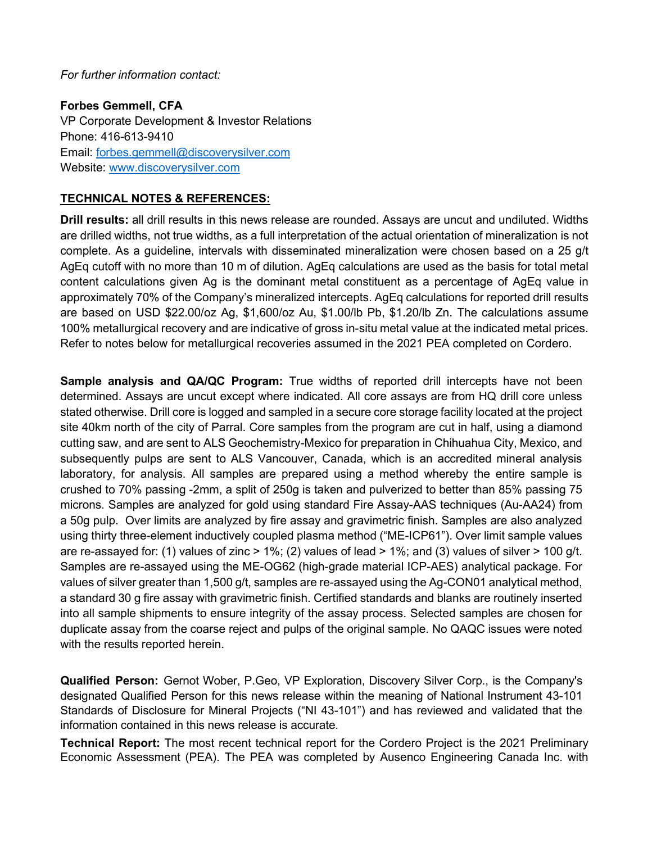*For further information contact:* 

**Forbes Gemmell, CFA** VP Corporate Development & Investor Relations Phone: 416-613-9410 Email: [forbes.gemmell@discoverysilver.com](mailto:forbes.gemmell@discoverysilver.com) Website: [www.discoverysilver.com](http://www.discoverysilver.com/)

### **TECHNICAL NOTES & REFERENCES:**

**Drill results:** all drill results in this news release are rounded. Assays are uncut and undiluted. Widths are drilled widths, not true widths, as a full interpretation of the actual orientation of mineralization is not complete. As a guideline, intervals with disseminated mineralization were chosen based on a 25 g/t AgEq cutoff with no more than 10 m of dilution. AgEq calculations are used as the basis for total metal content calculations given Ag is the dominant metal constituent as a percentage of AgEq value in approximately 70% of the Company's mineralized intercepts. AgEq calculations for reported drill results are based on USD \$22.00/oz Ag, \$1,600/oz Au, \$1.00/lb Pb, \$1.20/lb Zn. The calculations assume 100% metallurgical recovery and are indicative of gross in-situ metal value at the indicated metal prices. Refer to notes below for metallurgical recoveries assumed in the 2021 PEA completed on Cordero.

**Sample analysis and QA/QC Program:** True widths of reported drill intercepts have not been determined. Assays are uncut except where indicated. All core assays are from HQ drill core unless stated otherwise. Drill core is logged and sampled in a secure core storage facility located at the project site 40km north of the city of Parral. Core samples from the program are cut in half, using a diamond cutting saw, and are sent to ALS Geochemistry-Mexico for preparation in Chihuahua City, Mexico, and subsequently pulps are sent to ALS Vancouver, Canada, which is an accredited mineral analysis laboratory, for analysis. All samples are prepared using a method whereby the entire sample is crushed to 70% passing -2mm, a split of 250g is taken and pulverized to better than 85% passing 75 microns. Samples are analyzed for gold using standard Fire Assay-AAS techniques (Au-AA24) from a 50g pulp. Over limits are analyzed by fire assay and gravimetric finish. Samples are also analyzed using thirty three-element inductively coupled plasma method ("ME-ICP61"). Over limit sample values are re-assayed for: (1) values of zinc  $> 1\%$ ; (2) values of lead  $> 1\%$ ; and (3) values of silver  $> 100$  g/t. Samples are re-assayed using the ME-OG62 (high-grade material ICP-AES) analytical package. For values of silver greater than 1,500 g/t, samples are re-assayed using the Ag-CON01 analytical method, a standard 30 g fire assay with gravimetric finish. Certified standards and blanks are routinely inserted into all sample shipments to ensure integrity of the assay process. Selected samples are chosen for duplicate assay from the coarse reject and pulps of the original sample. No QAQC issues were noted with the results reported herein.

**Qualified Person:** Gernot Wober, P.Geo, VP Exploration, Discovery Silver Corp., is the Company's designated Qualified Person for this news release within the meaning of National Instrument 43-101 Standards of Disclosure for Mineral Projects ("NI 43-101") and has reviewed and validated that the information contained in this news release is accurate.

**Technical Report:** The most recent technical report for the Cordero Project is the 2021 Preliminary Economic Assessment (PEA). The PEA was completed by Ausenco Engineering Canada Inc. with